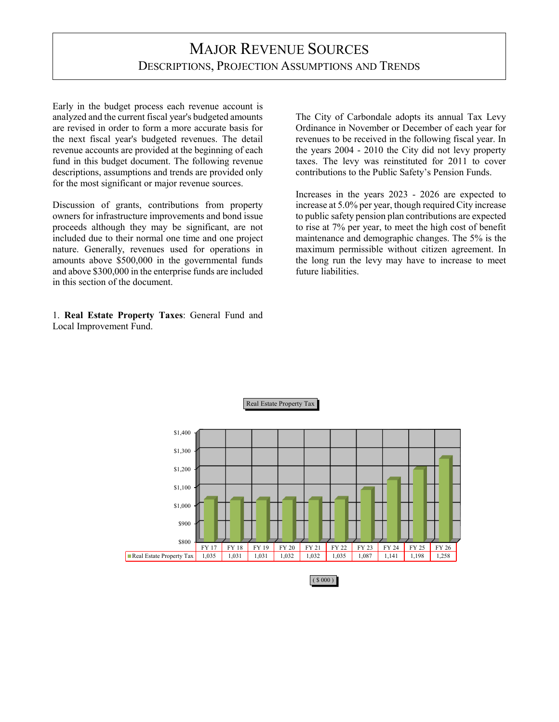Early in the budget process each revenue account is analyzed and the current fiscal year's budgeted amounts are revised in order to form a more accurate basis for the next fiscal year's budgeted revenues. The detail revenue accounts are provided at the beginning of each fund in this budget document. The following revenue descriptions, assumptions and trends are provided only for the most significant or major revenue sources.

Discussion of grants, contributions from property owners for infrastructure improvements and bond issue proceeds although they may be significant, are not included due to their normal one time and one project nature. Generally, revenues used for operations in amounts above \$500,000 in the governmental funds and above \$300,000 in the enterprise funds are included in this section of the document.

1. **Real Estate Property Taxes**: General Fund and Local Improvement Fund.

The City of Carbondale adopts its annual Tax Levy Ordinance in November or December of each year for revenues to be received in the following fiscal year. In the years 2004 - 2010 the City did not levy property taxes. The levy was reinstituted for 2011 to cover contributions to the Public Safety's Pension Funds.

Increases in the years 2023 - 2026 are expected to increase at 5.0% per year, though required City increase to public safety pension plan contributions are expected to rise at 7% per year, to meet the high cost of benefit maintenance and demographic changes. The 5% is the maximum permissible without citizen agreement. In the long run the levy may have to increase to meet future liabilities.

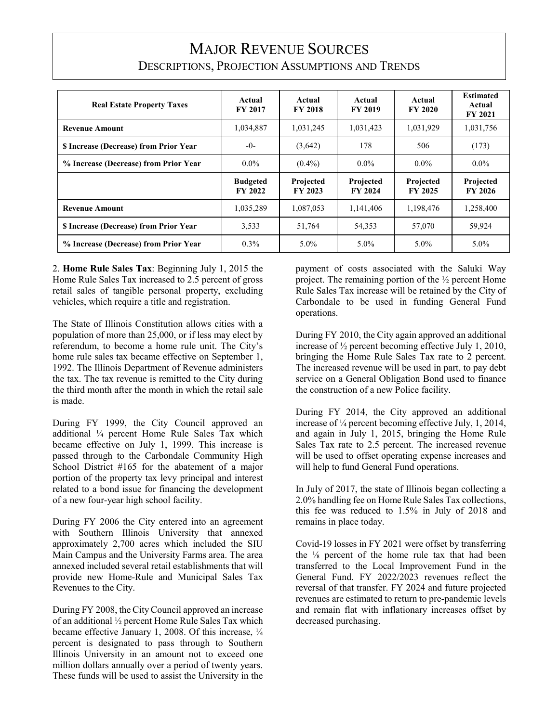| <b>Real Estate Property Taxes</b>            | Actual<br>FY 2017          | Actual<br><b>FY 2018</b>    | Actual<br><b>FY 2019</b>           | Actual<br><b>FY 2020</b> | <b>Estimated</b><br>Actual<br><b>FY 2021</b> |
|----------------------------------------------|----------------------------|-----------------------------|------------------------------------|--------------------------|----------------------------------------------|
| <b>Revenue Amount</b>                        | 1,034,887                  | 1,031,245                   | 1,031,423                          | 1,031,929                | 1,031,756                                    |
| <b>S</b> Increase (Decrease) from Prior Year | $-0-$                      | (3,642)                     | 178                                | 506                      | (173)                                        |
| % Increase (Decrease) from Prior Year        | $0.0\%$                    | $(0.4\%)$                   | $0.0\%$                            | $0.0\%$                  | $0.0\%$                                      |
|                                              | <b>Budgeted</b><br>FY 2022 | Projected<br><b>FY 2023</b> | <b>Projected</b><br><b>FY 2024</b> | Projected<br>FY 2025     | Projected<br>FY 2026                         |
| <b>Revenue Amount</b>                        | 1,035,289                  | 1,087,053                   | 1,141,406                          | 1,198,476                | 1,258,400                                    |
| \$ Increase (Decrease) from Prior Year       | 3,533                      | 51,764                      | 54,353                             | 57,070                   | 59,924                                       |
| % Increase (Decrease) from Prior Year        | $0.3\%$                    | $5.0\%$                     | $5.0\%$                            | $5.0\%$                  | $5.0\%$                                      |

2. **Home Rule Sales Tax**: Beginning July 1, 2015 the Home Rule Sales Tax increased to 2.5 percent of gross retail sales of tangible personal property, excluding vehicles, which require a title and registration.

The State of Illinois Constitution allows cities with a population of more than 25,000, or if less may elect by referendum, to become a home rule unit. The City's home rule sales tax became effective on September 1, 1992. The Illinois Department of Revenue administers the tax. The tax revenue is remitted to the City during the third month after the month in which the retail sale is made.

During FY 1999, the City Council approved an additional ¼ percent Home Rule Sales Tax which became effective on July 1, 1999. This increase is passed through to the Carbondale Community High School District #165 for the abatement of a major portion of the property tax levy principal and interest related to a bond issue for financing the development of a new four-year high school facility.

During FY 2006 the City entered into an agreement with Southern Illinois University that annexed approximately 2,700 acres which included the SIU Main Campus and the University Farms area. The area annexed included several retail establishments that will provide new Home-Rule and Municipal Sales Tax Revenues to the City.

During FY 2008, the City Council approved an increase of an additional ½ percent Home Rule Sales Tax which became effective January 1, 2008. Of this increase,  $\frac{1}{4}$ percent is designated to pass through to Southern Illinois University in an amount not to exceed one million dollars annually over a period of twenty years. These funds will be used to assist the University in the

payment of costs associated with the Saluki Way project. The remaining portion of the ½ percent Home Rule Sales Tax increase will be retained by the City of Carbondale to be used in funding General Fund operations.

During FY 2010, the City again approved an additional increase of ½ percent becoming effective July 1, 2010, bringing the Home Rule Sales Tax rate to 2 percent. The increased revenue will be used in part, to pay debt service on a General Obligation Bond used to finance the construction of a new Police facility.

During FY 2014, the City approved an additional increase of ¼ percent becoming effective July, 1, 2014, and again in July 1, 2015, bringing the Home Rule Sales Tax rate to 2.5 percent. The increased revenue will be used to offset operating expense increases and will help to fund General Fund operations.

In July of 2017, the state of Illinois began collecting a 2.0% handling fee on Home Rule Sales Tax collections, this fee was reduced to 1.5% in July of 2018 and remains in place today.

Covid-19 losses in FY 2021 were offset by transferring the ⅛ percent of the home rule tax that had been transferred to the Local Improvement Fund in the General Fund. FY 2022/2023 revenues reflect the reversal of that transfer. FY 2024 and future projected revenues are estimated to return to pre-pandemic levels and remain flat with inflationary increases offset by decreased purchasing.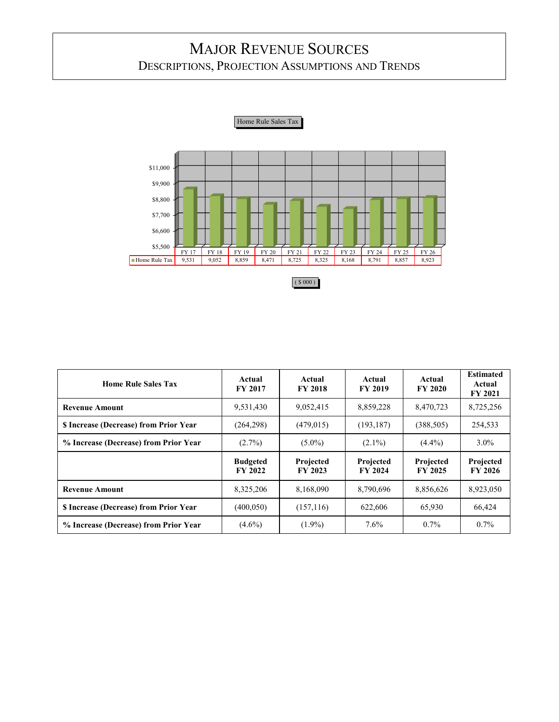

| <b>Home Rule Sales Tax</b>                    | Actual<br><b>FY 2017</b>   | Actual<br><b>FY 2018</b>    | Actual<br><b>FY 2019</b>    | Actual<br><b>FY 2020</b> | <b>Estimated</b><br>Actual<br>FY 2021 |
|-----------------------------------------------|----------------------------|-----------------------------|-----------------------------|--------------------------|---------------------------------------|
| <b>Revenue Amount</b>                         | 9,531,430                  | 9,052,415                   | 8,859,228                   | 8,470,723                | 8,725,256                             |
| <b>\$</b> Increase (Decrease) from Prior Year | (264, 298)                 | (479, 015)                  | (193, 187)                  | (388, 505)               | 254,533                               |
| % Increase (Decrease) from Prior Year         | $(2.7\%)$                  | $(5.0\%)$                   | $(2.1\%)$                   | $(4.4\%)$                | $3.0\%$                               |
|                                               | <b>Budgeted</b><br>FY 2022 | Projected<br><b>FY 2023</b> | Projected<br><b>FY 2024</b> | Projected<br>FY 2025     | Projected<br>FY 2026                  |
| <b>Revenue Amount</b>                         | 8,325,206                  | 8,168,090                   | 8,790,696                   | 8,856,626                | 8,923,050                             |
| <b>\$</b> Increase (Decrease) from Prior Year | (400, 050)                 | (157, 116)                  | 622,606                     | 65,930                   | 66,424                                |
| % Increase (Decrease) from Prior Year         | $(4.6\%)$                  | $(1.9\%)$                   | 7.6%                        | $0.7\%$                  | $0.7\%$                               |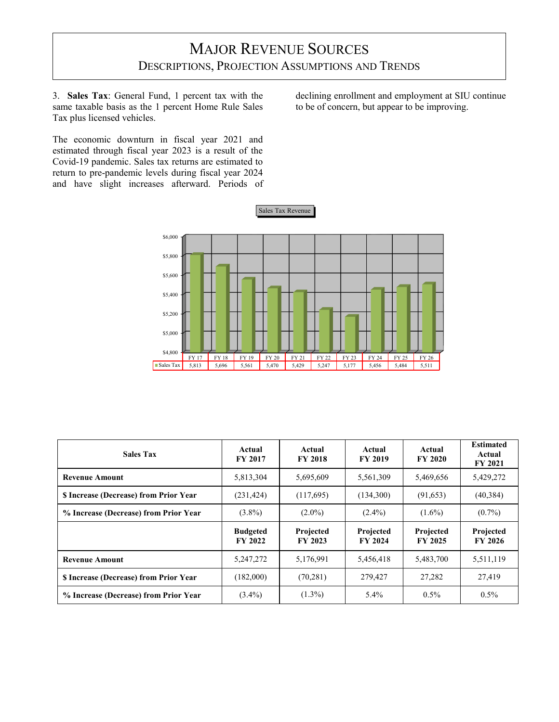3. **Sales Tax**: General Fund, 1 percent tax with the same taxable basis as the 1 percent Home Rule Sales Tax plus licensed vehicles.

The economic downturn in fiscal year 2021 and estimated through fiscal year 2023 is a result of the Covid-19 pandemic. Sales tax returns are estimated to return to pre-pandemic levels during fiscal year 2024 and have slight increases afterward. Periods of

declining enrollment and employment at SIU continue to be of concern, but appear to be improving.



| <b>Sales Tax</b>                              | Actual<br><b>FY 2017</b>          | Actual<br><b>FY 2018</b> | Actual<br><b>FY 2019</b>    | Actual<br><b>FY 2020</b>    | <b>Estimated</b><br>Actual<br><b>FY 2021</b> |
|-----------------------------------------------|-----------------------------------|--------------------------|-----------------------------|-----------------------------|----------------------------------------------|
| <b>Revenue Amount</b>                         | 5,813,304                         | 5,695,609                | 5,561,309                   | 5,469,656                   | 5,429,272                                    |
| <b>\$</b> Increase (Decrease) from Prior Year | (231, 424)                        | (117,695)                | (134,300)                   | (91,653)                    | (40, 384)                                    |
| % Increase (Decrease) from Prior Year         | $(3.8\%)$                         | $(2.0\%)$                | $(2.4\%)$                   | $(1.6\%)$                   | $(0.7\%)$                                    |
|                                               | <b>Budgeted</b><br><b>FY 2022</b> | Projected<br>FY 2023     | Projected<br><b>FY 2024</b> | Projected<br><b>FY 2025</b> | Projected<br>FY 2026                         |
|                                               |                                   |                          |                             |                             |                                              |
| <b>Revenue Amount</b>                         | 5,247,272                         | 5,176,991                | 5,456,418                   | 5,483,700                   | 5,511,119                                    |
| <b>\$</b> Increase (Decrease) from Prior Year | (182,000)                         | (70, 281)                | 279,427                     | 27,282                      | 27,419                                       |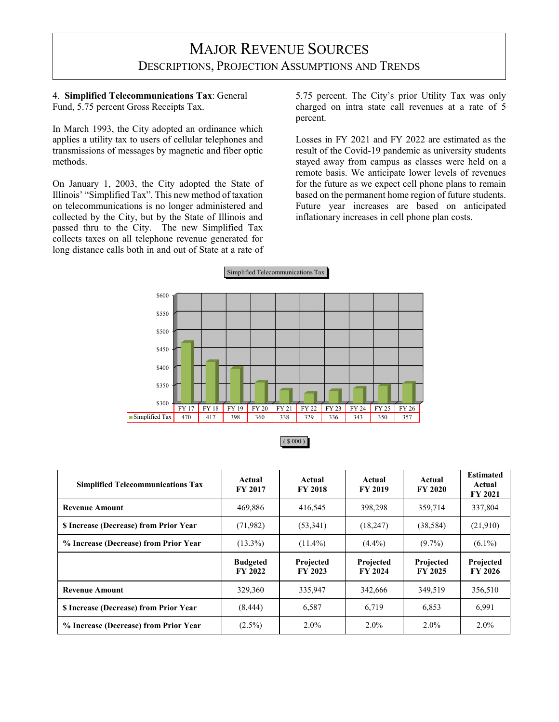4. **Simplified Telecommunications Tax**: General Fund, 5.75 percent Gross Receipts Tax.

In March 1993, the City adopted an ordinance which applies a utility tax to users of cellular telephones and transmissions of messages by magnetic and fiber optic methods.

On January 1, 2003, the City adopted the State of Illinois' "Simplified Tax". This new method of taxation on telecommunications is no longer administered and collected by the City, but by the State of Illinois and passed thru to the City. The new Simplified Tax collects taxes on all telephone revenue generated for long distance calls both in and out of State at a rate of

5.75 percent. The City's prior Utility Tax was only charged on intra state call revenues at a rate of 5 percent.

Losses in FY 2021 and FY 2022 are estimated as the result of the Covid-19 pandemic as university students stayed away from campus as classes were held on a remote basis. We anticipate lower levels of revenues for the future as we expect cell phone plans to remain based on the permanent home region of future students. Future year increases are based on anticipated inflationary increases in cell phone plan costs.



| <b>Simplified Telecommunications Tax</b>      | Actual<br><b>FY 2017</b>          | Actual<br><b>FY 2018</b> | Actual<br><b>FY 2019</b>    | Actual<br><b>FY 2020</b>    | <b>Estimated</b><br>Actual<br><b>FY 2021</b> |
|-----------------------------------------------|-----------------------------------|--------------------------|-----------------------------|-----------------------------|----------------------------------------------|
| <b>Revenue Amount</b>                         | 469,886                           | 416,545                  | 398,298                     | 359,714                     | 337,804                                      |
| <b>\$</b> Increase (Decrease) from Prior Year | (71,982)                          | (53,341)                 | (18,247)                    | (38, 584)                   | (21,910)                                     |
| % Increase (Decrease) from Prior Year         | $(13.3\%)$                        | $(11.4\%)$               | $(4.4\%)$                   | $(9.7\%)$                   | $(6.1\%)$                                    |
|                                               | <b>Budgeted</b><br><b>FY 2022</b> | Projected<br>FY 2023     | Projected<br><b>FY 2024</b> | Projected<br><b>FY 2025</b> | Projected<br>FY 2026                         |
| <b>Revenue Amount</b>                         | 329,360                           | 335,947                  | 342,666                     | 349.519                     | 356,510                                      |
| <b>S</b> Increase (Decrease) from Prior Year  | (8, 444)                          | 6,587                    | 6,719                       | 6,853                       | 6,991                                        |
| % Increase (Decrease) from Prior Year         | $(2.5\%)$                         | $2.0\%$                  | $2.0\%$                     | $2.0\%$                     | $2.0\%$                                      |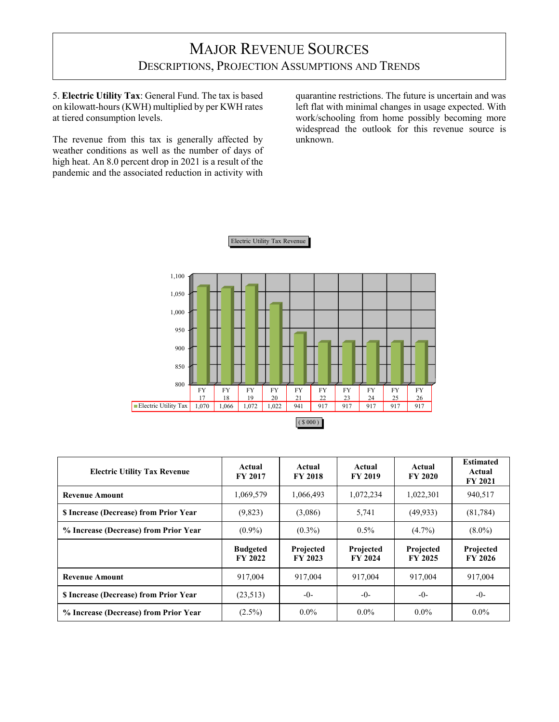5. **Electric Utility Tax**: General Fund. The tax is based on kilowatt-hours (KWH) multiplied by per KWH rates at tiered consumption levels.

The revenue from this tax is generally affected by weather conditions as well as the number of days of high heat. An 8.0 percent drop in 2021 is a result of the pandemic and the associated reduction in activity with

quarantine restrictions. The future is uncertain and was left flat with minimal changes in usage expected. With work/schooling from home possibly becoming more widespread the outlook for this revenue source is unknown.



| <b>Electric Utility Tax Revenue</b>           | Actual<br><b>FY 2017</b>   | Actual<br><b>FY 2018</b>    | Actual<br><b>FY 2019</b>    | Actual<br><b>FY 2020</b> | <b>Estimated</b><br>Actual<br>FY 2021 |
|-----------------------------------------------|----------------------------|-----------------------------|-----------------------------|--------------------------|---------------------------------------|
| <b>Revenue Amount</b>                         | 1,069,579                  | 1,066,493                   | 1,072,234                   | 1,022,301                | 940,517                               |
| <b>\$</b> Increase (Decrease) from Prior Year | (9,823)                    | (3,086)                     | 5,741                       | (49, 933)                | (81, 784)                             |
| % Increase (Decrease) from Prior Year         | $(0.9\%)$                  | $(0.3\%)$                   | $0.5\%$                     | $(4.7\%)$                | $(8.0\%)$                             |
|                                               | <b>Budgeted</b><br>FY 2022 | Projected<br><b>FY 2023</b> | Projected<br><b>FY 2024</b> | Projected<br>FY 2025     | Projected<br><b>FY 2026</b>           |
| <b>Revenue Amount</b>                         | 917,004                    | 917,004                     | 917,004                     | 917,004                  | 917,004                               |
|                                               |                            |                             |                             |                          |                                       |
| <b>\$</b> Increase (Decrease) from Prior Year | (23,513)                   | $-0-$                       | $-0-$                       | $-0-$                    | $-0-$                                 |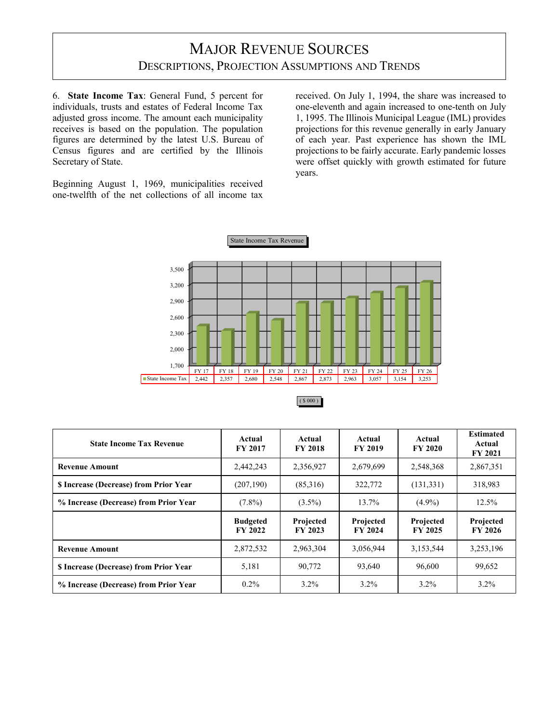6. **State Income Tax**: General Fund, 5 percent for individuals, trusts and estates of Federal Income Tax adjusted gross income. The amount each municipality receives is based on the population. The population figures are determined by the latest U.S. Bureau of Census figures and are certified by the Illinois Secretary of State.

Beginning August 1, 1969, municipalities received one-twelfth of the net collections of all income tax received. On July 1, 1994, the share was increased to one-eleventh and again increased to one-tenth on July 1, 1995. The Illinois Municipal League (IML) provides projections for this revenue generally in early January of each year. Past experience has shown the IML projections to be fairly accurate. Early pandemic losses were offset quickly with growth estimated for future years.



| <b>State Income Tax Revenue</b>               | Actual<br><b>FY 2017</b>          | Actual<br><b>FY 2018</b>    | Actual<br><b>FY 2019</b>    | Actual<br><b>FY 2020</b>    | <b>Estimated</b><br>Actual<br><b>FY 2021</b> |
|-----------------------------------------------|-----------------------------------|-----------------------------|-----------------------------|-----------------------------|----------------------------------------------|
| <b>Revenue Amount</b>                         | 2,442,243                         | 2,356,927                   | 2,679,699                   | 2,548,368                   | 2,867,351                                    |
| \$ Increase (Decrease) from Prior Year        | (207, 190)                        | (85,316)                    | 322,772                     | (131, 331)                  | 318,983                                      |
| % Increase (Decrease) from Prior Year         | $(7.8\%)$                         | $(3.5\%)$                   | 13.7%                       | $(4.9\%)$                   | 12.5%                                        |
|                                               |                                   |                             |                             |                             |                                              |
|                                               | <b>Budgeted</b><br><b>FY 2022</b> | Projected<br><b>FY 2023</b> | Projected<br><b>FY 2024</b> | Projected<br><b>FY 2025</b> | Projected<br><b>FY 2026</b>                  |
| <b>Revenue Amount</b>                         | 2,872,532                         | 2,963,304                   | 3,056,944                   | 3,153,544                   | 3,253,196                                    |
| <b>\$</b> Increase (Decrease) from Prior Year | 5,181                             | 90,772                      | 93,640                      | 96,600                      | 99,652                                       |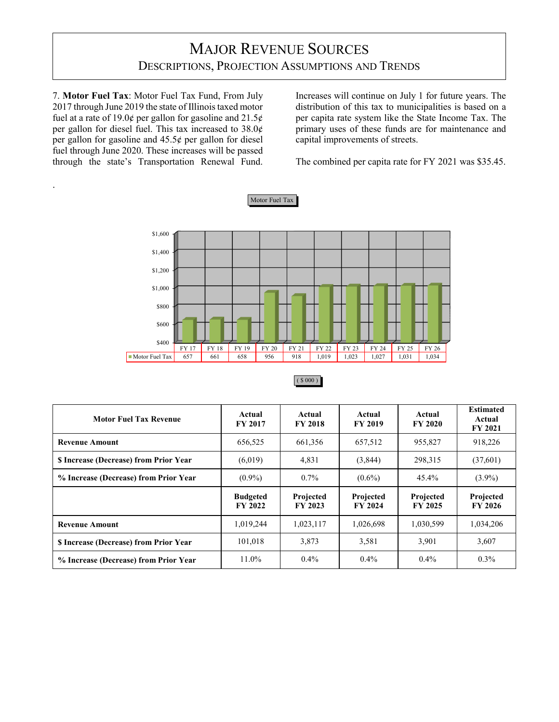7. **Motor Fuel Tax**: Motor Fuel Tax Fund, From July 2017 through June 2019 the state of Illinois taxed motor fuel at a rate of 19.0 $\phi$  per gallon for gasoline and 21.5 $\phi$ per gallon for diesel fuel. This tax increased to 38.0¢ per gallon for gasoline and  $45.5¢$  per gallon for diesel fuel through June 2020. These increases will be passed through the state's Transportation Renewal Fund.

.

Increases will continue on July 1 for future years. The distribution of this tax to municipalities is based on a per capita rate system like the State Income Tax. The primary uses of these funds are for maintenance and capital improvements of streets.

The combined per capita rate for FY 2021 was \$35.45.



|  | 300G |  |
|--|------|--|
|  |      |  |

| <b>Motor Fuel Tax Revenue</b>                 | Actual<br><b>FY 2017</b>   | Actual<br><b>FY 2018</b>    | Actual<br><b>FY 2019</b>    | Actual<br><b>FY 2020</b> | <b>Estimated</b><br>Actual<br><b>FY 2021</b> |
|-----------------------------------------------|----------------------------|-----------------------------|-----------------------------|--------------------------|----------------------------------------------|
| <b>Revenue Amount</b>                         | 656,525                    | 661,356                     | 657,512                     | 955,827                  | 918,226                                      |
| <b>\$</b> Increase (Decrease) from Prior Year | (6,019)                    | 4,831                       | (3,844)                     | 298,315                  | (37,601)                                     |
| % Increase (Decrease) from Prior Year         | $(0.9\%)$                  | $0.7\%$                     | $(0.6\%)$                   | 45.4%                    | $(3.9\%)$                                    |
|                                               | <b>Budgeted</b><br>FY 2022 | Projected<br><b>FY 2023</b> | Projected<br><b>FY 2024</b> | Projected<br>FY 2025     | Projected<br><b>FY 2026</b>                  |
| <b>Revenue Amount</b>                         | 1,019,244                  | 1,023,117                   | 1.026.698                   | 1,030,599                | 1,034,206                                    |
| <b>\$</b> Increase (Decrease) from Prior Year | 101,018                    | 3,873                       | 3,581                       | 3,901                    | 3,607                                        |
| % Increase (Decrease) from Prior Year         | $11.0\%$                   | $0.4\%$                     | $0.4\%$                     | $0.4\%$                  | $0.3\%$                                      |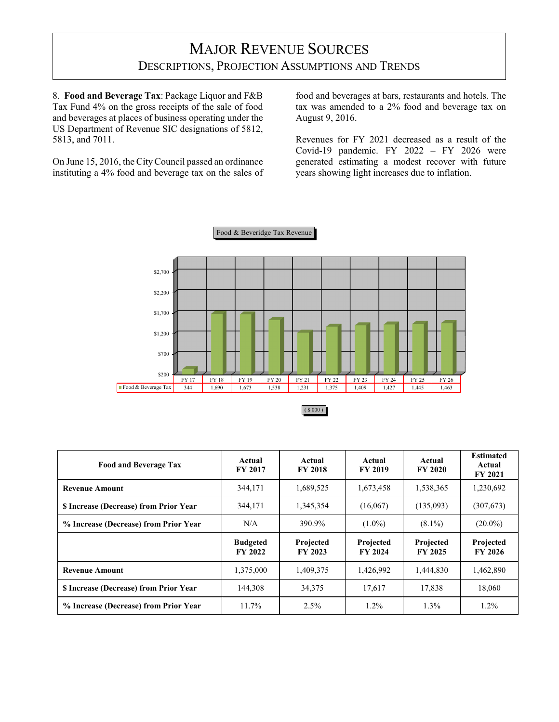8. **Food and Beverage Tax**: Package Liquor and F&B Tax Fund 4% on the gross receipts of the sale of food and beverages at places of business operating under the US Department of Revenue SIC designations of 5812, 5813, and 7011.

On June 15, 2016, the City Council passed an ordinance instituting a 4% food and beverage tax on the sales of

food and beverages at bars, restaurants and hotels. The tax was amended to a 2% food and beverage tax on August 9, 2016.

Revenues for FY 2021 decreased as a result of the Covid-19 pandemic. FY 2022 – FY 2026 were generated estimating a modest recover with future years showing light increases due to inflation.



|--|

| <b>Food and Beverage Tax</b>                  | Actual<br><b>FY 2017</b>          | Actual<br><b>FY 2018</b>    | Actual<br><b>FY 2019</b>    | Actual<br><b>FY 2020</b>    | <b>Estimated</b><br>Actual<br><b>FY 2021</b> |
|-----------------------------------------------|-----------------------------------|-----------------------------|-----------------------------|-----------------------------|----------------------------------------------|
| <b>Revenue Amount</b>                         | 344,171                           | 1,689,525                   | 1,673,458                   | 1,538,365                   | 1,230,692                                    |
| <b>\$</b> Increase (Decrease) from Prior Year | 344,171                           | 1,345,354                   | (16,067)                    | (135,093)                   | (307,673)                                    |
| % Increase (Decrease) from Prior Year         | N/A                               | 390.9%                      | $(1.0\%)$                   | $(8.1\%)$                   | $(20.0\%)$                                   |
|                                               |                                   |                             |                             |                             |                                              |
|                                               | <b>Budgeted</b><br><b>FY 2022</b> | Projected<br><b>FY 2023</b> | Projected<br><b>FY 2024</b> | Projected<br><b>FY 2025</b> | Projected<br>FY 2026                         |
| <b>Revenue Amount</b>                         | 1,375,000                         | 1,409,375                   | 1,426,992                   | 1,444,830                   | 1,462,890                                    |
| \$ Increase (Decrease) from Prior Year        | 144,308                           | 34,375                      | 17,617                      | 17,838                      | 18,060                                       |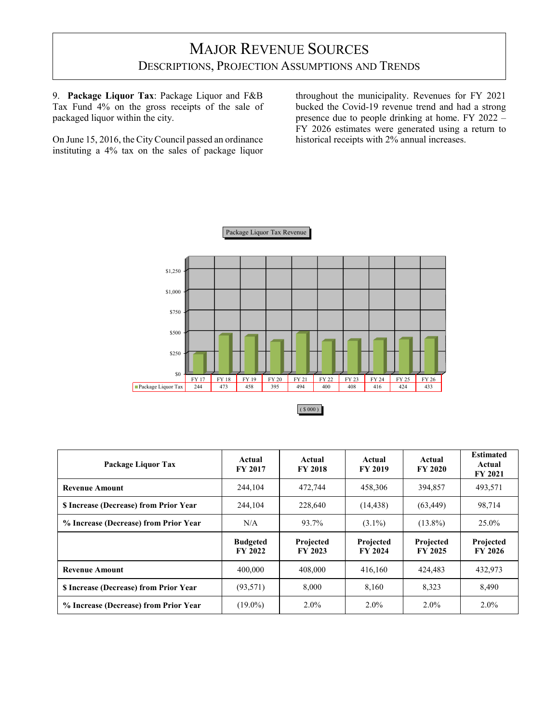9. **Package Liquor Tax**: Package Liquor and F&B Tax Fund 4% on the gross receipts of the sale of packaged liquor within the city.

On June 15, 2016, the City Council passed an ordinance instituting a 4% tax on the sales of package liquor

throughout the municipality. Revenues for FY 2021 bucked the Covid-19 revenue trend and had a strong presence due to people drinking at home. FY 2022 – FY 2026 estimates were generated using a return to historical receipts with 2% annual increases.



|--|

| Package Liquor Tax                            | Actual<br><b>FY 2017</b>          | Actual<br><b>FY 2018</b>    | Actual<br><b>FY 2019</b>    | Actual<br><b>FY 2020</b>    | <b>Estimated</b><br>Actual<br>FY 2021 |
|-----------------------------------------------|-----------------------------------|-----------------------------|-----------------------------|-----------------------------|---------------------------------------|
| <b>Revenue Amount</b>                         | 244,104                           | 472,744                     | 458,306                     | 394,857                     | 493,571                               |
| <b>\$</b> Increase (Decrease) from Prior Year | 244,104                           | 228,640                     | (14, 438)                   | (63, 449)                   | 98,714                                |
| % Increase (Decrease) from Prior Year         | N/A                               | 93.7%                       | $(3.1\%)$                   | $(13.8\%)$                  | 25.0%                                 |
|                                               |                                   |                             |                             |                             |                                       |
|                                               | <b>Budgeted</b><br><b>FY 2022</b> | Projected<br><b>FY 2023</b> | Projected<br><b>FY 2024</b> | Projected<br><b>FY 2025</b> | Projected<br>FY 2026                  |
| <b>Revenue Amount</b>                         | 400,000                           | 408,000                     | 416,160                     | 424.483                     | 432,973                               |
| <b>\$</b> Increase (Decrease) from Prior Year | (93, 571)                         | 8,000                       | 8,160                       | 8.323                       | 8,490                                 |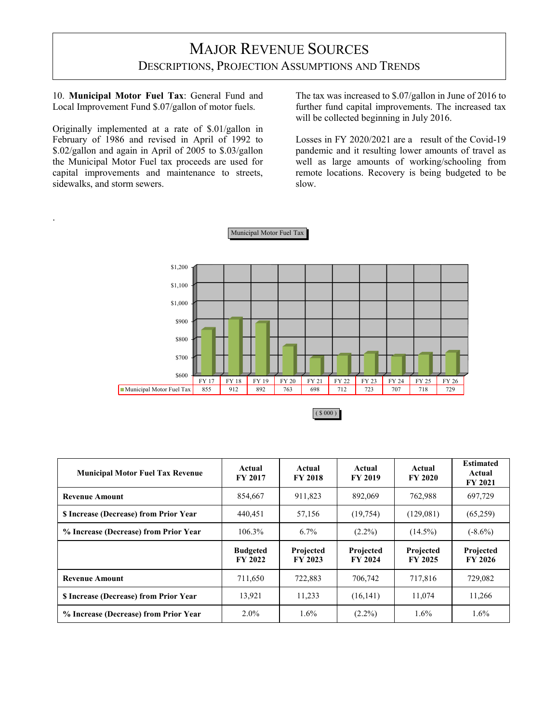10. **Municipal Motor Fuel Tax**: General Fund and Local Improvement Fund \$.07/gallon of motor fuels.

Originally implemented at a rate of \$.01/gallon in February of 1986 and revised in April of 1992 to \$.02/gallon and again in April of 2005 to \$.03/gallon the Municipal Motor Fuel tax proceeds are used for capital improvements and maintenance to streets, sidewalks, and storm sewers.

.

The tax was increased to \$.07/gallon in June of 2016 to further fund capital improvements. The increased tax will be collected beginning in July 2016.

Losses in FY 2020/2021 are a result of the Covid-19 pandemic and it resulting lower amounts of travel as well as large amounts of working/schooling from remote locations. Recovery is being budgeted to be slow.



| \$ 000 |  |
|--------|--|
|--------|--|

| <b>Municipal Motor Fuel Tax Revenue</b>       | Actual<br><b>FY 2017</b>   | Actual<br><b>FY 2018</b>    | Actual<br><b>FY 2019</b>    | Actual<br><b>FY 2020</b> | <b>Estimated</b><br>Actual<br><b>FY 2021</b> |
|-----------------------------------------------|----------------------------|-----------------------------|-----------------------------|--------------------------|----------------------------------------------|
| <b>Revenue Amount</b>                         | 854,667                    | 911.823                     | 892,069                     | 762,988                  | 697,729                                      |
| <b>\$</b> Increase (Decrease) from Prior Year | 440,451                    | 57,156                      | (19, 754)                   | (129,081)                | (65,259)                                     |
| % Increase (Decrease) from Prior Year         | 106.3%                     | 6.7%                        | $(2.2\%)$                   | $(14.5\%)$               | $(-8.6\%)$                                   |
|                                               | <b>Budgeted</b><br>FY 2022 | Projected<br><b>FY 2023</b> | Projected<br><b>FY 2024</b> | Projected<br>FY 2025     | Projected<br><b>FY 2026</b>                  |
| <b>Revenue Amount</b>                         |                            |                             |                             |                          |                                              |
|                                               | 711,650                    | 722,883                     | 706,742                     | 717,816                  | 729,082                                      |
| <b>S</b> Increase (Decrease) from Prior Year  | 13,921                     | 11.233                      | (16, 141)                   | 11.074                   | 11,266                                       |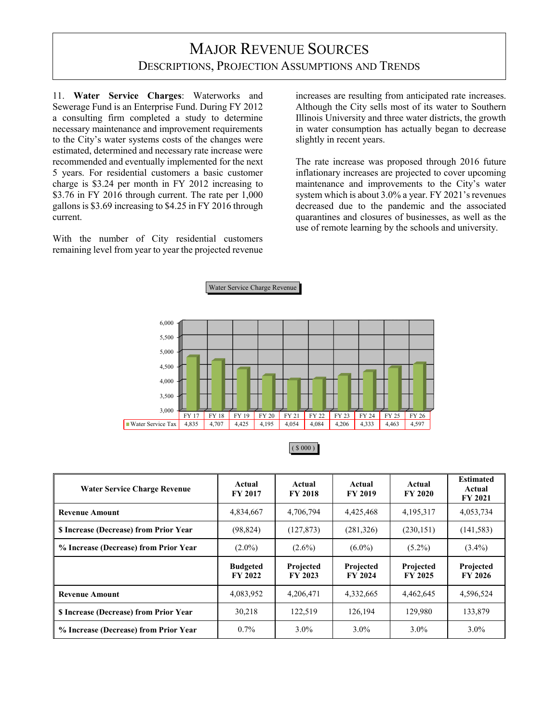11. **Water Service Charges**: Waterworks and Sewerage Fund is an Enterprise Fund. During FY 2012 a consulting firm completed a study to determine necessary maintenance and improvement requirements to the City's water systems costs of the changes were estimated, determined and necessary rate increase were recommended and eventually implemented for the next 5 years. For residential customers a basic customer charge is \$3.24 per month in FY 2012 increasing to \$3.76 in FY 2016 through current. The rate per 1,000 gallons is \$3.69 increasing to \$4.25 in FY 2016 through current.

With the number of City residential customers remaining level from year to year the projected revenue increases are resulting from anticipated rate increases. Although the City sells most of its water to Southern Illinois University and three water districts, the growth in water consumption has actually began to decrease slightly in recent years.

The rate increase was proposed through 2016 future inflationary increases are projected to cover upcoming maintenance and improvements to the City's water system which is about 3.0% a year. FY 2021's revenues decreased due to the pandemic and the associated quarantines and closures of businesses, as well as the use of remote learning by the schools and university.



Water Service Charge Revenue

|--|

| <b>Water Service Charge Revenue</b>           | Actual<br><b>FY 2017</b>          | Actual<br><b>FY 2018</b>    | Actual<br><b>FY 2019</b>    | Actual<br><b>FY 2020</b>    | <b>Estimated</b><br>Actual<br><b>FY 2021</b> |
|-----------------------------------------------|-----------------------------------|-----------------------------|-----------------------------|-----------------------------|----------------------------------------------|
| <b>Revenue Amount</b>                         | 4,834,667                         | 4.706.794                   | 4,425,468                   | 4, 195, 317                 | 4,053,734                                    |
| <b>\$</b> Increase (Decrease) from Prior Year | (98, 824)                         | (127, 873)                  | (281,326)                   | (230, 151)                  | (141, 583)                                   |
| % Increase (Decrease) from Prior Year         | $(2.0\%)$                         | $(2.6\%)$                   | $(6.0\%)$                   | $(5.2\%)$                   | $(3.4\%)$                                    |
|                                               | <b>Budgeted</b><br><b>FY 2022</b> | Projected<br><b>FY 2023</b> | Projected<br><b>FY 2024</b> | Projected<br><b>FY 2025</b> | Projected<br><b>FY 2026</b>                  |
| <b>Revenue Amount</b>                         | 4,083,952                         | 4,206,471                   | 4,332,665                   | 4,462,645                   | 4,596,524                                    |
| <b>\$ Increase (Decrease) from Prior Year</b> | 30,218                            | 122,519                     | 126,194                     | 129.980                     | 133,879                                      |
| % Increase (Decrease) from Prior Year         | $0.7\%$                           | $3.0\%$                     | $3.0\%$                     | $3.0\%$                     | $3.0\%$                                      |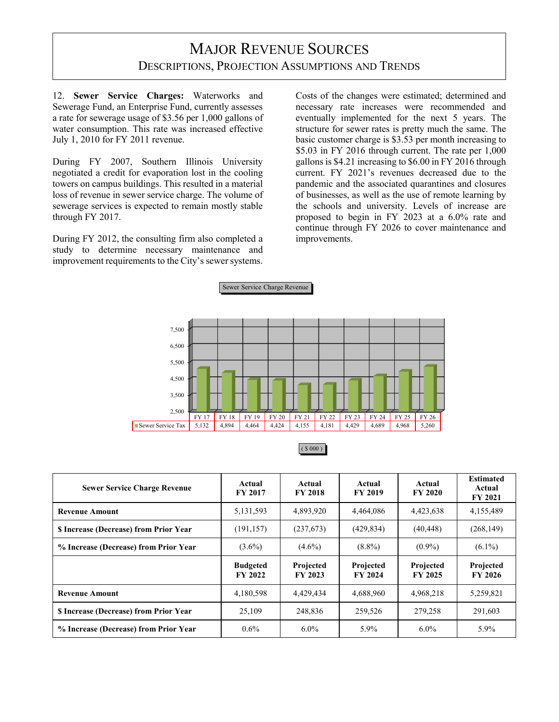12. **Sewer Service Charges:** Waterworks and Sewerage Fund, an Enterprise Fund, currently assesses a rate for sewerage usage of \$3.56 per 1,000 gallons of water consumption. This rate was increased effective July 1, 2010 for FY 2011 revenue.

During FY 2007, Southern Illinois University negotiated a credit for evaporation lost in the cooling towers on campus buildings. This resulted in a material loss of revenue in sewer service charge. The volume of sewerage services is expected to remain mostly stable through FY 2017.

During FY 2012, the consulting firm also completed a study to determine necessary maintenance and improvement requirements to the City's sewer systems.

Costs of the changes were estimated; determined and necessary rate increases were recommended and eventually implemented for the next 5 years. The structure for sewer rates is pretty much the same. The basic customer charge is \$3.53 per month increasing to \$5.03 in FY 2016 through current. The rate per 1,000 gallons is \$4.21 increasing to \$6.00 in FY 2016 through current. FY 2021's revenues decreased due to the pandemic and the associated quarantines and closures of businesses, as well as the use of remote learning by the schools and university. Levels of increase are proposed to begin in FY 2023 at a 6.0% rate and continue through FY 2026 to cover maintenance and improvements.



 $( $000 )$ 

| <b>Sewer Service Charge Revenue</b>           | Actual<br><b>FY 2017</b>          | Actual<br><b>FY 2018</b>    | Actual<br><b>FY 2019</b>    | Actual<br><b>FY 2020</b>    | <b>Estimated</b><br>Actual<br><b>FY 2021</b> |
|-----------------------------------------------|-----------------------------------|-----------------------------|-----------------------------|-----------------------------|----------------------------------------------|
| <b>Revenue Amount</b>                         | 5, 131, 593                       | 4,893,920                   | 4,464,086                   | 4,423,638                   | 4,155,489                                    |
| \$ Increase (Decrease) from Prior Year        | (191, 157)                        | (237,673)                   | (429, 834)                  | (40, 448)                   | (268, 149)                                   |
| % Increase (Decrease) from Prior Year         | $(3.6\%)$                         | $(4.6\%)$                   | $(8.8\%)$                   | $(0.9\%)$                   | $(6.1\%)$                                    |
|                                               | <b>Budgeted</b><br><b>FY 2022</b> | Projected<br><b>FY 2023</b> | Projected<br><b>FY 2024</b> | Projected<br><b>FY 2025</b> | Projected<br><b>FY 2026</b>                  |
| <b>Revenue Amount</b>                         | 4,180,598                         | 4,429,434                   | 4,688,960                   | 4,968,218                   | 5,259,821                                    |
| <b>\$</b> Increase (Decrease) from Prior Year | 25,109                            | 248,836                     | 259,526                     | 279,258                     | 291,603                                      |
| % Increase (Decrease) from Prior Year         | $0.6\%$                           | $6.0\%$                     | 5.9%                        | $6.0\%$                     | 5.9%                                         |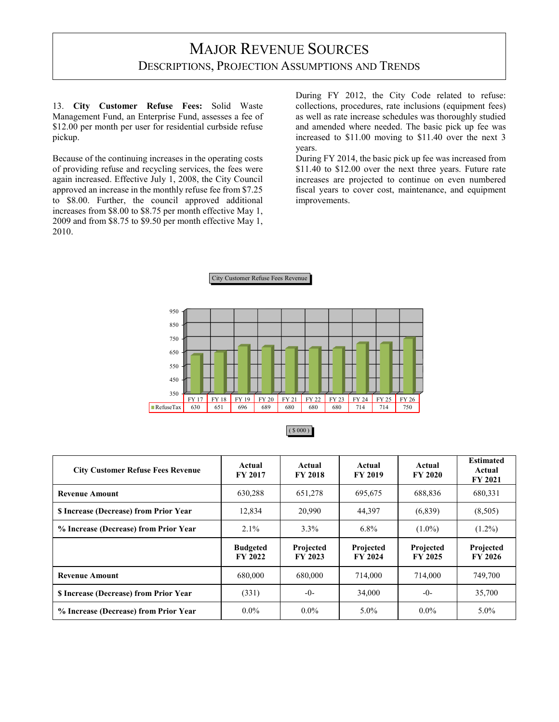13. **City Customer Refuse Fees:** Solid Waste Management Fund, an Enterprise Fund, assesses a fee of \$12.00 per month per user for residential curbside refuse pickup.

Because of the continuing increases in the operating costs of providing refuse and recycling services, the fees were again increased. Effective July 1, 2008, the City Council approved an increase in the monthly refuse fee from \$7.25 to \$8.00. Further, the council approved additional increases from \$8.00 to \$8.75 per month effective May 1, 2009 and from \$8.75 to \$9.50 per month effective May 1, 2010.

During FY 2012, the City Code related to refuse: collections, procedures, rate inclusions (equipment fees) as well as rate increase schedules was thoroughly studied and amended where needed. The basic pick up fee was increased to \$11.00 moving to \$11.40 over the next 3 years.

During FY 2014, the basic pick up fee was increased from \$11.40 to \$12.00 over the next three years. Future rate increases are projected to continue on even numbered fiscal years to cover cost, maintenance, and equipment improvements.



City Customer Refuse Fees Revenue

| <b>City Customer Refuse Fees Revenue</b> | Actual<br><b>FY 2017</b>          | Actual<br><b>FY 2018</b> | Actual<br><b>FY 2019</b>    | Actual<br><b>FY 2020</b> | <b>Estimated</b><br>Actual<br><b>FY 2021</b> |
|------------------------------------------|-----------------------------------|--------------------------|-----------------------------|--------------------------|----------------------------------------------|
| <b>Revenue Amount</b>                    | 630,288                           | 651,278                  | 695,675                     | 688.836                  | 680,331                                      |
| \$ Increase (Decrease) from Prior Year   | 12,834                            | 20,990                   | 44.397                      | (6,839)                  | (8,505)                                      |
| % Increase (Decrease) from Prior Year    | $2.1\%$                           | $3.3\%$                  | $6.8\%$                     | $(1.0\%)$                | $(1.2\%)$                                    |
|                                          | <b>Budgeted</b><br><b>FY 2022</b> | Projected<br>FY 2023     | Projected<br><b>FY 2024</b> | Projected<br>FY 2025     | Projected<br><b>FY 2026</b>                  |
| <b>Revenue Amount</b>                    | 680,000                           | 680,000                  | 714,000                     | 714,000                  | 749.700                                      |
| \$ Increase (Decrease) from Prior Year   | (331)                             | $-0-$                    | 34,000                      | $-0-$                    | 35,700                                       |
| % Increase (Decrease) from Prior Year    | $0.0\%$                           | $0.0\%$                  | $5.0\%$                     | $0.0\%$                  | $5.0\%$                                      |

|--|